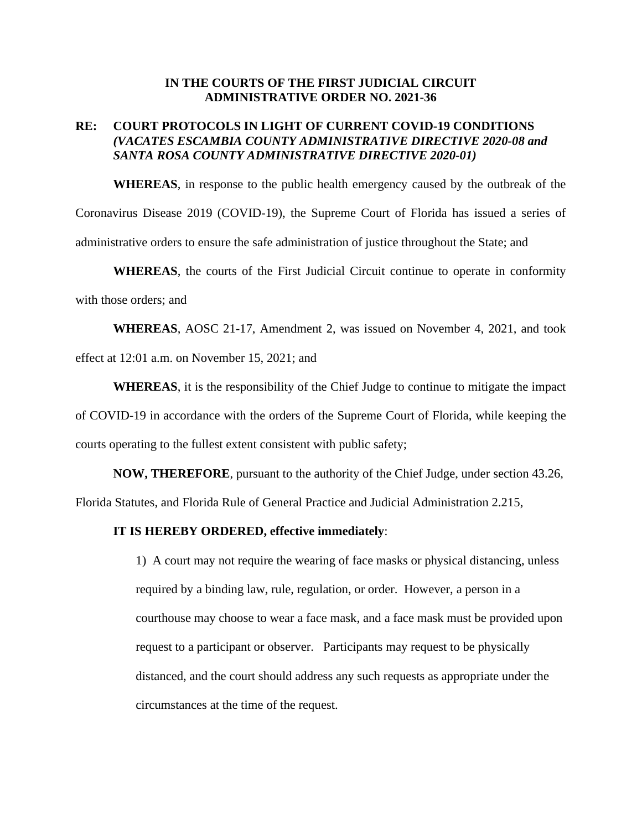## **IN THE COURTS OF THE FIRST JUDICIAL CIRCUIT ADMINISTRATIVE ORDER NO. 2021-36**

## **RE: COURT PROTOCOLS IN LIGHT OF CURRENT COVID-19 CONDITIONS** *(VACATES ESCAMBIA COUNTY ADMINISTRATIVE DIRECTIVE 2020-08 and SANTA ROSA COUNTY ADMINISTRATIVE DIRECTIVE 2020-01)*

**WHEREAS**, in response to the public health emergency caused by the outbreak of the Coronavirus Disease 2019 (COVID-19), the Supreme Court of Florida has issued a series of administrative orders to ensure the safe administration of justice throughout the State; and

**WHEREAS**, the courts of the First Judicial Circuit continue to operate in conformity with those orders; and

**WHEREAS**, AOSC 21-17, Amendment 2, was issued on November 4, 2021, and took effect at 12:01 a.m. on November 15, 2021; and

**WHEREAS**, it is the responsibility of the Chief Judge to continue to mitigate the impact of COVID-19 in accordance with the orders of the Supreme Court of Florida, while keeping the courts operating to the fullest extent consistent with public safety;

**NOW, THEREFORE**, pursuant to the authority of the Chief Judge, under section 43.26, Florida Statutes, and Florida Rule of General Practice and Judicial Administration 2.215,

## **IT IS HEREBY ORDERED, effective immediately**:

1) A court may not require the wearing of face masks or physical distancing, unless required by a binding law, rule, regulation, or order. However, a person in a courthouse may choose to wear a face mask, and a face mask must be provided upon request to a participant or observer. Participants may request to be physically distanced, and the court should address any such requests as appropriate under the circumstances at the time of the request.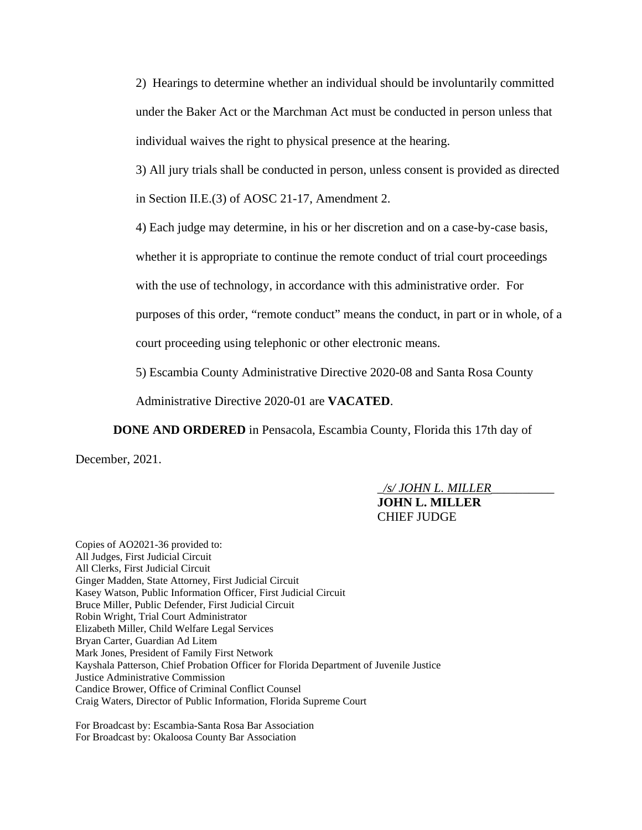2) Hearings to determine whether an individual should be involuntarily committed under the Baker Act or the Marchman Act must be conducted in person unless that individual waives the right to physical presence at the hearing.

3) All jury trials shall be conducted in person, unless consent is provided as directed in Section II.E.(3) of AOSC 21-17, Amendment 2.

4) Each judge may determine, in his or her discretion and on a case-by-case basis,

whether it is appropriate to continue the remote conduct of trial court proceedings

with the use of technology, in accordance with this administrative order. For

purposes of this order, "remote conduct" means the conduct, in part or in whole, of a

court proceeding using telephonic or other electronic means.

5) Escambia County Administrative Directive 2020-08 and Santa Rosa County

Administrative Directive 2020-01 are **VACATED**.

**DONE AND ORDERED** in Pensacola, Escambia County, Florida this 17th day of December, 2021.

> \_*/s/ JOHN L. MILLER*\_\_\_\_\_\_\_\_\_\_ **JOHN L. MILLER** CHIEF JUDGE

Copies of AO2021-36 provided to: All Judges, First Judicial Circuit All Clerks, First Judicial Circuit Ginger Madden, State Attorney, First Judicial Circuit Kasey Watson, Public Information Officer, First Judicial Circuit Bruce Miller, Public Defender, First Judicial Circuit Robin Wright, Trial Court Administrator Elizabeth Miller, Child Welfare Legal Services Bryan Carter, Guardian Ad Litem Mark Jones, President of Family First Network Kayshala Patterson, Chief Probation Officer for Florida Department of Juvenile Justice Justice Administrative Commission Candice Brower, Office of Criminal Conflict Counsel Craig Waters, Director of Public Information, Florida Supreme Court

For Broadcast by: Escambia-Santa Rosa Bar Association For Broadcast by: Okaloosa County Bar Association